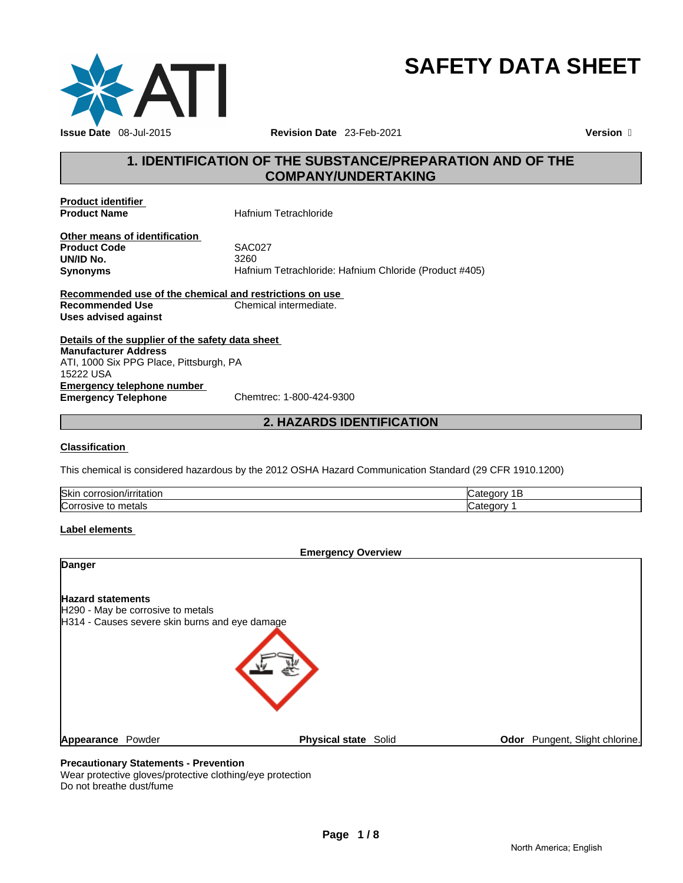

### **SAFETY DATA SHEET**

#### **1. IDENTIFICATION OF THE SUBSTANCE/PREPARATION AND OF THE COMPANY/UNDERTAKING**

**Product identifier<br>Product Name** 

**Hafnium Tetrachloride** 

**Other means of identification Product Code SAC027 UN/ID No.** 3260 **Synonyms** Hafnium Tetrachloride: Hafnium Chloride (Product #405)

**Recommended use of the chemical and restrictions on use Recommended Use** Chemical intermediate. **Uses advised against** 

**Details of the supplier of the safety data sheet Emergency telephone number<br>
Emergency Telephone**<br>
Chemtrec: 1-800-424-9300 **Emergency Telephone Manufacturer Address** ATI, 1000 Six PPG Place, Pittsburgh, PA 15222 USA

**2. HAZARDS IDENTIFICATION** 

#### **Classification**

This chemical is considered hazardous by the 2012 OSHA Hazard Communication Standard (29 CFR 1910.1200)

| <b>Skin</b><br>/irritation<br>. corre<br>. USIU! | .,<br>. 11 1  |
|--------------------------------------------------|---------------|
| ∽<br>rosive to metals<br>ICorr                   | .,<br>`≏uuu⊳. |

#### **Label elements**

| <b>Emergency Overview</b> |                                   |                                                |  |                                |
|---------------------------|-----------------------------------|------------------------------------------------|--|--------------------------------|
| <b>Danger</b>             |                                   |                                                |  |                                |
| <b>Hazard statements</b>  |                                   |                                                |  |                                |
|                           | H290 - May be corrosive to metals |                                                |  |                                |
|                           |                                   | H314 - Causes severe skin burns and eye damage |  |                                |
|                           |                                   |                                                |  |                                |
| Appearance                | Powder                            | <b>Physical state Solid</b>                    |  | Odor Pungent, Slight chlorine. |

#### **Precautionary Statements - Prevention**

Wear protective gloves/protective clothing/eye protection Do not breathe dust/fume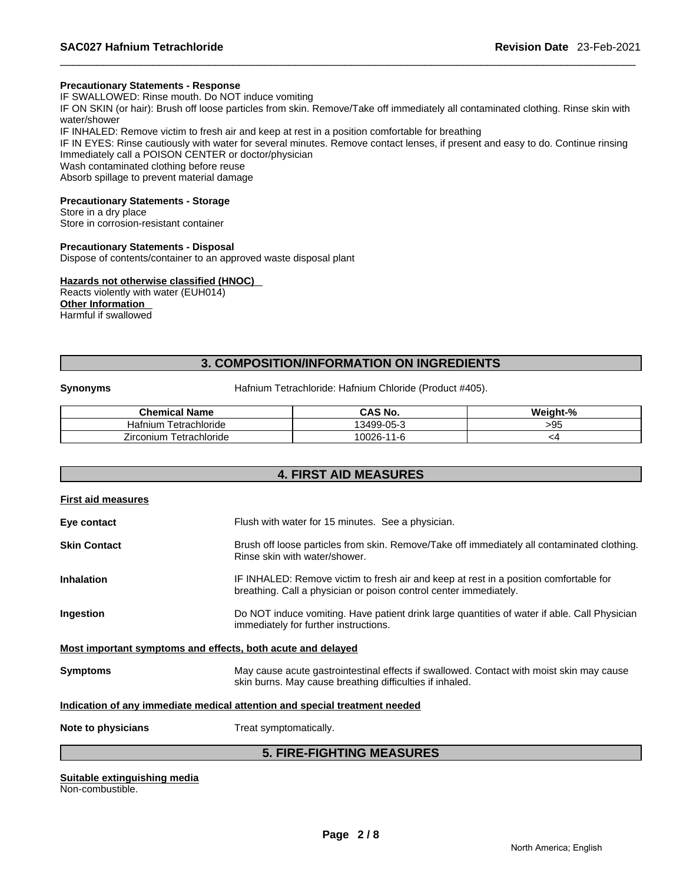#### **Precautionary Statements - Response**

IF SWALLOWED: Rinse mouth. Do NOT induce vomiting

IF ON SKIN (or hair): Brush off loose particles from skin. Remove/Take off immediately all contaminated clothing. Rinse skin with water/shower

IF INHALED: Remove victim to fresh air and keep at rest in a position comfortable for breathing

IF IN EYES: Rinse cautiously with water for several minutes. Remove contact lenses, if present and easy to do. Continue rinsing Immediately call a POISON CENTER or doctor/physician

Wash contaminated clothing before reuse

Absorb spillage to prevent material damage

#### **Precautionary Statements - Storage**

Store in a dry place Store in corrosion-resistant container

#### **Precautionary Statements - Disposal**

Dispose of contents/container to an approved waste disposal plant

#### **Hazards not otherwise classified (HNOC)**

Reacts violently with water (EUH014) **Other Information**  Harmful if swallowed

#### **3. COMPOSITION/INFORMATION ON INGREDIENTS**

**Synonyms** Hafnium Tetrachloride: Hafnium Chloride (Product #405).

| – Chemical Name                  | CAS No.                       | Weight-% |
|----------------------------------|-------------------------------|----------|
| etrachloride<br>nıun.<br>наг     | 13499-05-3                    | -95      |
| -<br>l etrachloride<br>∠irconium | $10026 -$<br>l-6<br><i>_а</i> |          |

#### **4. FIRST AID MEASURES**

| <b>First aid measures</b> |                                                                                                                                                            |
|---------------------------|------------------------------------------------------------------------------------------------------------------------------------------------------------|
| Eye contact               | Flush with water for 15 minutes. See a physician.                                                                                                          |
| Skin Contact              | Brush off loose particles from skin. Remove/Take off immediately all contaminated clothing.<br>Rinse skin with water/shower.                               |
| <b>Inhalation</b>         | IF INHALED: Remove victim to fresh air and keep at rest in a position comfortable for<br>breathing. Call a physician or poison control center immediately. |
| Ingestion                 | Do NOT induce vomiting. Have patient drink large quantities of water if able. Call Physician<br>immediately for further instructions.                      |
|                           | Most important symptoms and effects, both acute and delayed                                                                                                |
| Symptoms                  | May cause acute gastrointestinal effects if swallowed. Contact with moist skin may cause<br>skin burns. May cause breathing difficulties if inhaled.       |
|                           | Indication of any immediate medical attention and special treatment needed                                                                                 |
| <b>Note to physicians</b> | Treat symptomatically.                                                                                                                                     |
|                           | <b>5. FIRE-FIGHTING MEASURES</b>                                                                                                                           |

# **Page 2 / 8 Suitable extinguishing media**

Non-combustible.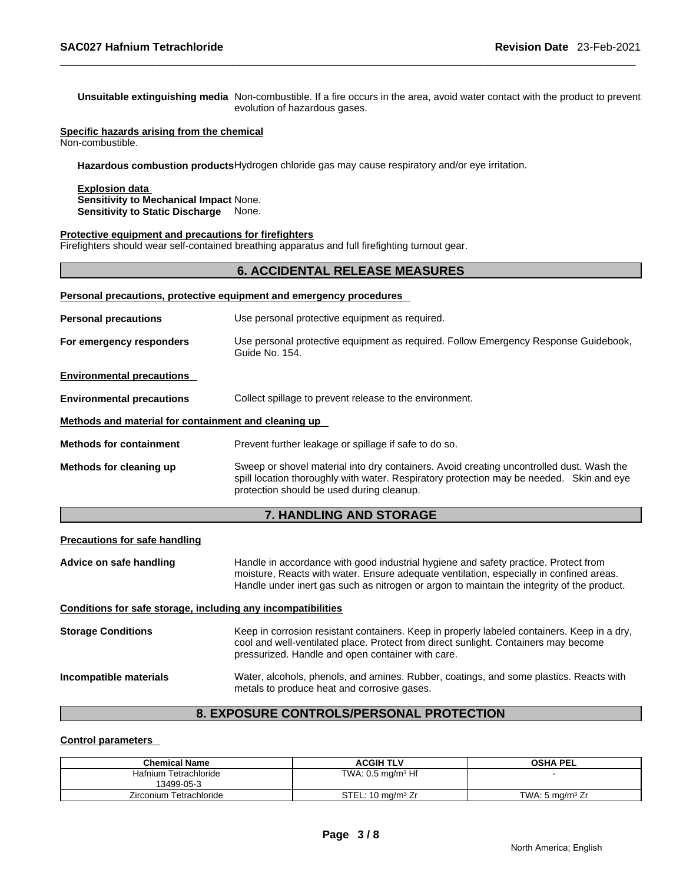**Unsuitable extinguishing media** Non-combustible. If a fire occurs in the area, avoid water contact with the product to prevent evolution of hazardous gases.

#### **Specific hazards arising from the chemical**

Non-combustible.

**Hazardous combustion products** Hydrogen chloride gas may cause respiratory and/or eye irritation.

**Explosion data Sensitivity to Mechanical Impact** None. **Sensitivity to Static Discharge None.** 

#### **Protective equipment and precautions for firefighters**

Firefighters should wear self-contained breathing apparatus and full firefighting turnout gear.

#### **6. ACCIDENTAL RELEASE MEASURES**

| Personal precautions, protective equipment and emergency procedures                                                                                                                                                                                          |                                                                                                       |  |
|--------------------------------------------------------------------------------------------------------------------------------------------------------------------------------------------------------------------------------------------------------------|-------------------------------------------------------------------------------------------------------|--|
| <b>Personal precautions</b>                                                                                                                                                                                                                                  | Use personal protective equipment as required.                                                        |  |
| For emergency responders                                                                                                                                                                                                                                     | Use personal protective equipment as required. Follow Emergency Response Guidebook,<br>Guide No. 154. |  |
| <b>Environmental precautions</b>                                                                                                                                                                                                                             |                                                                                                       |  |
| <b>Environmental precautions</b><br>Collect spillage to prevent release to the environment.                                                                                                                                                                  |                                                                                                       |  |
| Methods and material for containment and cleaning up                                                                                                                                                                                                         |                                                                                                       |  |
| <b>Methods for containment</b>                                                                                                                                                                                                                               | Prevent further leakage or spillage if safe to do so.                                                 |  |
| Sweep or shovel material into dry containers. Avoid creating uncontrolled dust. Wash the<br>Methods for cleaning up<br>spill location thoroughly with water. Respiratory protection may be needed. Skin and eye<br>protection should be used during cleanup. |                                                                                                       |  |
| 7. HANDLING AND STORAGE                                                                                                                                                                                                                                      |                                                                                                       |  |

#### **Precautions for safe handling**

**Advice on safe handling** Handle in accordance with good industrial hygiene and safety practice. Protect from moisture, Reacts with water. Ensure adequate ventilation, especially in confined areas. Handle under inert gas such as nitrogen or argon to maintain the integrity of the product.

#### **Conditions for safe storage, including any incompatibilities**

| <b>Storage Conditions</b> | Keep in corrosion resistant containers. Keep in properly labeled containers. Keep in a dry,<br>cool and well-ventilated place. Protect from direct sunlight. Containers may become<br>pressurized. Handle and open container with care. |
|---------------------------|-----------------------------------------------------------------------------------------------------------------------------------------------------------------------------------------------------------------------------------------|
| Incompatible materials    | Water, alcohols, phenols, and amines. Rubber, coatings, and some plastics. Reacts with<br>metals to produce heat and corrosive gases.                                                                                                   |

#### **8. EXPOSURE CONTROLS/PERSONAL PROTECTION**

#### **Control parameters**

| <b>Chemical Name</b>                | <b>ACGIH TLV</b>             | <b>OSHA PEL</b>    |
|-------------------------------------|------------------------------|--------------------|
| Hafnium Tetrachloride<br>13499-05-3 | TWA: $0.5 \text{ mg/m}^3$ Hf |                    |
| Zirconium Tetrachloride             | STEL: $10 \text{ ma/m}^3$ Zr | TWA: 5 mg/m $3$ Zr |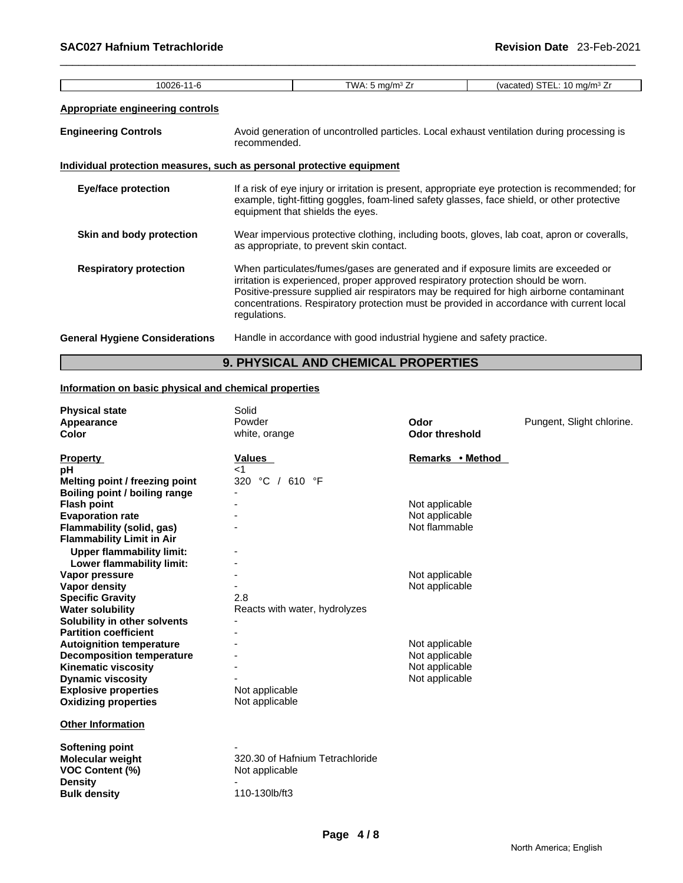| <b>Appropriate engineering controls</b>                                                                                                   |                                                                                                                                                                                                                                                                                                                                                                                 |  |  |
|-------------------------------------------------------------------------------------------------------------------------------------------|---------------------------------------------------------------------------------------------------------------------------------------------------------------------------------------------------------------------------------------------------------------------------------------------------------------------------------------------------------------------------------|--|--|
|                                                                                                                                           |                                                                                                                                                                                                                                                                                                                                                                                 |  |  |
| <b>Engineering Controls</b><br>Avoid generation of uncontrolled particles. Local exhaust ventilation during processing is<br>recommended. |                                                                                                                                                                                                                                                                                                                                                                                 |  |  |
| Individual protection measures, such as personal protective equipment                                                                     |                                                                                                                                                                                                                                                                                                                                                                                 |  |  |
| Eye/face protection                                                                                                                       | If a risk of eye injury or irritation is present, appropriate eye protection is recommended; for<br>example, tight-fitting goggles, foam-lined safety glasses, face shield, or other protective<br>equipment that shields the eyes.                                                                                                                                             |  |  |
| Skin and body protection                                                                                                                  | Wear impervious protective clothing, including boots, gloves, lab coat, apron or coveralls,<br>as appropriate, to prevent skin contact.                                                                                                                                                                                                                                         |  |  |
| <b>Respiratory protection</b>                                                                                                             | When particulates/fumes/gases are generated and if exposure limits are exceeded or<br>irritation is experienced, proper approved respiratory protection should be worn.<br>Positive-pressure supplied air respirators may be required for high airborne contaminant<br>concentrations. Respiratory protection must be provided in accordance with current local<br>regulations. |  |  |
| <b>General Hygiene Considerations</b>                                                                                                     | Handle in accordance with good industrial hygiene and safety practice.                                                                                                                                                                                                                                                                                                          |  |  |

#### **9. PHYSICAL AND CHEMICAL PROPERTIES**

#### **Information on basic physical and chemical properties**

| <b>Physical state</b>            | Solid                           |                       |                           |
|----------------------------------|---------------------------------|-----------------------|---------------------------|
| Appearance                       | Powder                          | Odor                  | Pungent, Slight chlorine. |
| Color                            | white, orange                   | <b>Odor threshold</b> |                           |
| <b>Property</b>                  | <b>Values</b>                   | Remarks • Method      |                           |
| рH                               | $\leq$ 1                        |                       |                           |
| Melting point / freezing point   | 320 °C / 610 °F                 |                       |                           |
| Boiling point / boiling range    |                                 |                       |                           |
| <b>Flash point</b>               |                                 | Not applicable        |                           |
| <b>Evaporation rate</b>          |                                 | Not applicable        |                           |
| Flammability (solid, gas)        |                                 | Not flammable         |                           |
| <b>Flammability Limit in Air</b> |                                 |                       |                           |
| <b>Upper flammability limit:</b> |                                 |                       |                           |
| Lower flammability limit:        |                                 |                       |                           |
| Vapor pressure                   |                                 | Not applicable        |                           |
| Vapor density                    |                                 | Not applicable        |                           |
| <b>Specific Gravity</b>          | 2.8                             |                       |                           |
| <b>Water solubility</b>          | Reacts with water, hydrolyzes   |                       |                           |
| Solubility in other solvents     |                                 |                       |                           |
| <b>Partition coefficient</b>     |                                 |                       |                           |
| <b>Autoignition temperature</b>  |                                 | Not applicable        |                           |
| <b>Decomposition temperature</b> |                                 | Not applicable        |                           |
| <b>Kinematic viscosity</b>       |                                 | Not applicable        |                           |
| <b>Dynamic viscosity</b>         |                                 | Not applicable        |                           |
| <b>Explosive properties</b>      | Not applicable                  |                       |                           |
| <b>Oxidizing properties</b>      | Not applicable                  |                       |                           |
| <b>Other Information</b>         |                                 |                       |                           |
| <b>Softening point</b>           |                                 |                       |                           |
| <b>Molecular weight</b>          | 320.30 of Hafnium Tetrachloride |                       |                           |
| <b>VOC Content (%)</b>           | Not applicable                  |                       |                           |
| <b>Density</b>                   |                                 |                       |                           |
| <b>Bulk density</b>              | 110-130lb/ft3                   |                       |                           |
|                                  |                                 |                       |                           |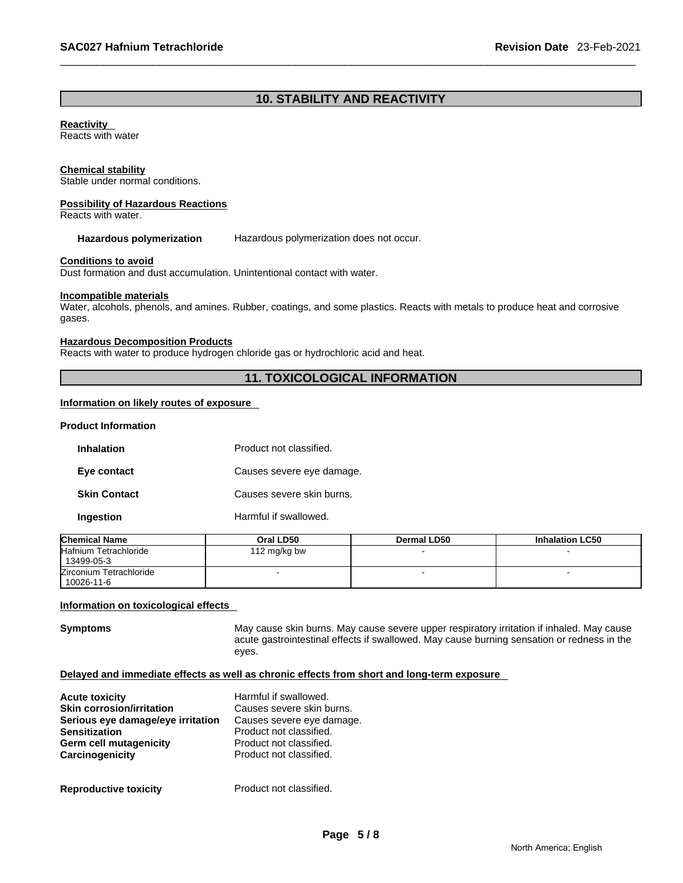#### **10. STABILITY AND REACTIVITY**

#### **Reactivity**

Reacts with water

#### **Chemical stability**

Stable under normal conditions.

#### **Possibility of Hazardous Reactions**

Reacts with water.

**Hazardous polymerization** Hazardous polymerization does not occur.

#### **Conditions to avoid**

Dust formation and dust accumulation. Unintentional contact with water.

#### **Incompatible materials**

Water, alcohols, phenols, and amines. Rubber, coatings, and some plastics. Reacts with metals to produce heat and corrosive gases.

#### **Hazardous Decomposition Products**

Reacts with water to produce hydrogen chloride gas or hydrochloric acid and heat.

#### **11. TOXICOLOGICAL INFORMATION**

#### **Information on likely routes of exposure**

#### **Product Information**

| <b>Inhalation</b>   | Product not classified.   |
|---------------------|---------------------------|
| Eye contact         | Causes severe eye damage. |
| <b>Skin Contact</b> | Causes severe skin burns. |
| Ingestion           | Harmful if swallowed.     |

| <b>Chemical Name</b>    | Oral LD50    | Dermal LD50 | <b>Inhalation LC50</b> |
|-------------------------|--------------|-------------|------------------------|
| Hafnium Tetrachloride   | 112 mg/kg bw |             |                        |
| 13499-05-3              |              |             |                        |
| Zirconium Tetrachloride |              |             |                        |
| 10026-11-6              |              |             |                        |

#### **Information on toxicological effects**

**Symptoms** May cause skin burns. May cause severe upper respiratory irritation if inhaled. May cause acute gastrointestinal effects if swallowed. May cause burning sensation or redness in the eyes.

#### **Delayed and immediate effects as well as chronic effects from short and long-term exposure**

| <b>Acute toxicity</b>             | Harmful if swallowed.     |
|-----------------------------------|---------------------------|
| <b>Skin corrosion/irritation</b>  | Causes severe skin burns. |
| Serious eye damage/eye irritation | Causes severe eye damage. |
| <b>Sensitization</b>              | Product not classified.   |
| Germ cell mutagenicity            | Product not classified.   |
| Carcinogenicity                   | Product not classified.   |
|                                   |                           |
|                                   |                           |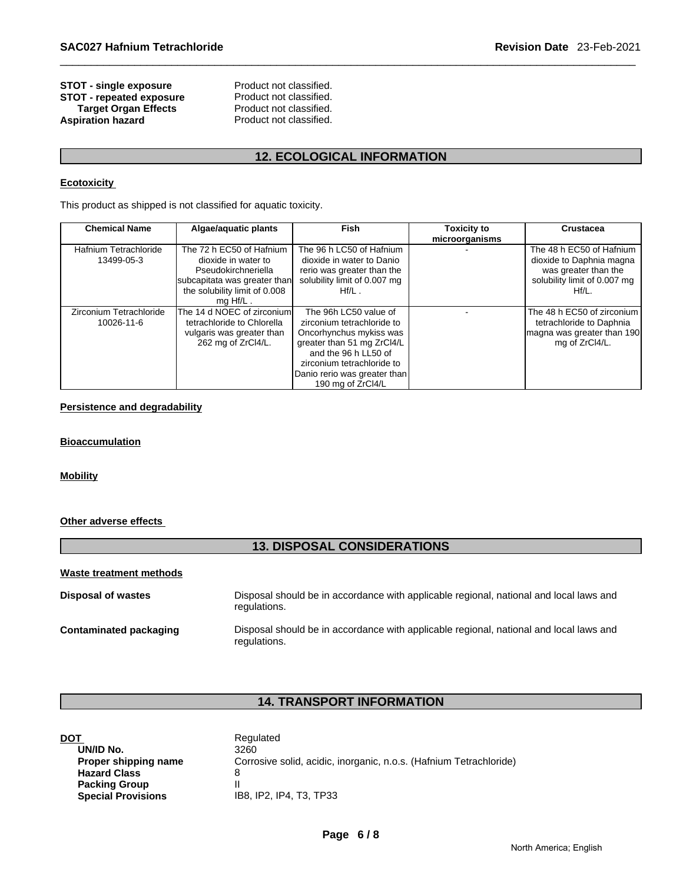#### **STOT - single exposure** Product not classified. **STOT - repeated exposure** Product not classified. **Target Organ Effects** Product not classified. Aspiration hazard **Product not classified.**

#### **12. ECOLOGICAL INFORMATION**

#### **Ecotoxicity**

This product as shipped is not classified for aquatic toxicity.

| <b>Chemical Name</b>                  | Algae/aquatic plants                                                                                                                                  | Fish                                                                                                                                                                                                                    | <b>Toxicity to</b> | <b>Crustacea</b>                                                                                                         |
|---------------------------------------|-------------------------------------------------------------------------------------------------------------------------------------------------------|-------------------------------------------------------------------------------------------------------------------------------------------------------------------------------------------------------------------------|--------------------|--------------------------------------------------------------------------------------------------------------------------|
|                                       |                                                                                                                                                       |                                                                                                                                                                                                                         | microorganisms     |                                                                                                                          |
| Hafnium Tetrachloride<br>13499-05-3   | The 72 h EC50 of Hafnium<br>dioxide in water to<br>Pseudokirchneriella<br>subcapitata was greater than<br>the solubility limit of 0.008<br>$mq$ Hf/L. | The 96 h LC50 of Hafnium<br>dioxide in water to Danio<br>rerio was greater than the<br>solubility limit of 0.007 mg<br>$Hf/L$ .                                                                                         |                    | The 48 h EC50 of Hafnium<br>dioxide to Daphnia magna<br>was greater than the<br>solubility limit of 0.007 mg<br>$Hf/L$ . |
| Zirconium Tetrachloride<br>10026-11-6 | The 14 d NOEC of zirconium<br>tetrachloride to Chlorella<br>vulgaris was greater than<br>262 mg of ZrCl4/L.                                           | The 96h LC50 value of<br>zirconium tetrachloride to<br>Oncorhynchus mykiss was<br>greater than 51 mg ZrCl4/L<br>and the 96 h LL50 of<br>zirconium tetrachloride to<br>Danio rerio was greater than<br>190 mg of ZrCI4/L |                    | The 48 h EC50 of zirconium<br>tetrachloride to Daphnia<br>magna was greater than 190<br>mg of ZrCl4/L.                   |

#### **Persistence and degradability**

#### **Bioaccumulation**

#### **Mobility**

#### **Other adverse effects**

#### **13. DISPOSAL CONSIDERATIONS**

| Waste treatment methods |                                                                                                        |
|-------------------------|--------------------------------------------------------------------------------------------------------|
| Disposal of wastes      | Disposal should be in accordance with applicable regional, national and local laws and<br>regulations. |
| Contaminated packaging  | Disposal should be in accordance with applicable regional, national and local laws and<br>regulations. |

#### **14. TRANSPORT INFORMATION**

| DOT                       | Regulated                                                          |
|---------------------------|--------------------------------------------------------------------|
| UN/ID No.                 | 3260                                                               |
| Proper shipping name      | Corrosive solid, acidic, inorganic, n.o.s. (Hafnium Tetrachloride) |
| <b>Hazard Class</b>       |                                                                    |
| <b>Packing Group</b>      |                                                                    |
| <b>Special Provisions</b> | IB8, IP2, IP4, T3, TP33                                            |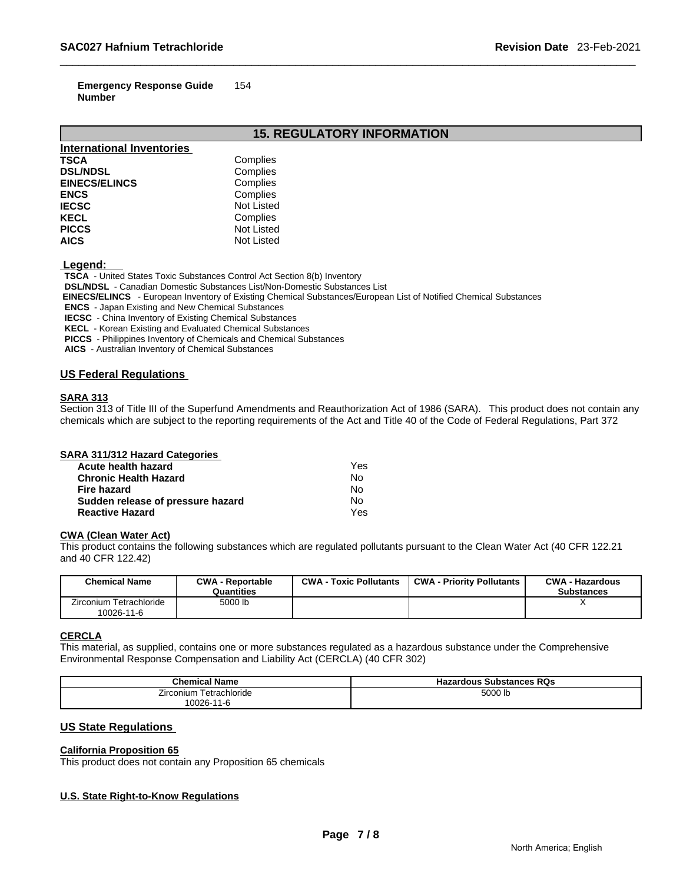**Emergency Response Guide Number**  154

#### **15. REGULATORY INFORMATION**

| <b>International Inventories</b> |                   |
|----------------------------------|-------------------|
| <b>TSCA</b>                      | Complies          |
| <b>DSL/NDSL</b>                  | Complies          |
| <b>EINECS/ELINCS</b>             | Complies          |
| <b>ENCS</b>                      | Complies          |
| <b>IECSC</b>                     | <b>Not Listed</b> |
| <b>KECL</b>                      | Complies          |
| <b>PICCS</b>                     | <b>Not Listed</b> |
| <b>AICS</b>                      | <b>Not Listed</b> |

 **Legend:** 

 **TSCA** - United States Toxic Substances Control Act Section 8(b) Inventory

 **DSL/NDSL** - Canadian Domestic Substances List/Non-Domestic Substances List

 **EINECS/ELINCS** - European Inventory of Existing Chemical Substances/European List of Notified Chemical Substances

 **ENCS** - Japan Existing and New Chemical Substances

 **IECSC** - China Inventory of Existing Chemical Substances

 **KECL** - Korean Existing and Evaluated Chemical Substances

 **PICCS** - Philippines Inventory of Chemicals and Chemical Substances

 **AICS** - Australian Inventory of Chemical Substances

#### **US Federal Regulations**

#### **SARA 313**

Section 313 of Title III of the Superfund Amendments and Reauthorization Act of 1986 (SARA). This product does not contain any chemicals which are subject to the reporting requirements of the Act and Title 40 of the Code of Federal Regulations, Part 372

#### **SARA 311/312 Hazard Categories**

| Acute health hazard               | Yes |
|-----------------------------------|-----|
| <b>Chronic Health Hazard</b>      | N٥  |
| Fire hazard                       | N٥  |
| Sudden release of pressure hazard | No  |
| <b>Reactive Hazard</b>            | Yes |

#### **CWA (Clean Water Act)**

This product contains the following substances which are regulated pollutants pursuant to the Clean Water Act (40 CFR 122.21 and 40 CFR 122.42)

| <b>Chemical Name</b>                  | <b>CWA - Reportable</b><br>Quantities | <b>CWA - Toxic Pollutants</b> | CWA - Priority Pollutants | <b>CWA - Hazardous</b><br><b>Substances</b> |
|---------------------------------------|---------------------------------------|-------------------------------|---------------------------|---------------------------------------------|
| Zirconium Tetrachloride<br>10026-11-6 | 5000 lb                               |                               |                           |                                             |

#### **CERCLA**

This material, as supplied, contains one or more substances regulated as a hazardous substance under the Comprehensive Environmental Response Compensation and Liability Act (CERCLA) (40 CFR 302)

| <b>Chemical Name</b>       | <b>Hazardous Substances RQs</b> |
|----------------------------|---------------------------------|
| Fetrachloride<br>∠irconium | 5000 lb                         |
| 10026-11<br>-1-6           |                                 |

#### **US State Regulations**

#### **California Proposition 65**

This product does not contain any Proposition 65 chemicals

## **Page 7 / 8 U.S. State Right-to-Know Regulations**